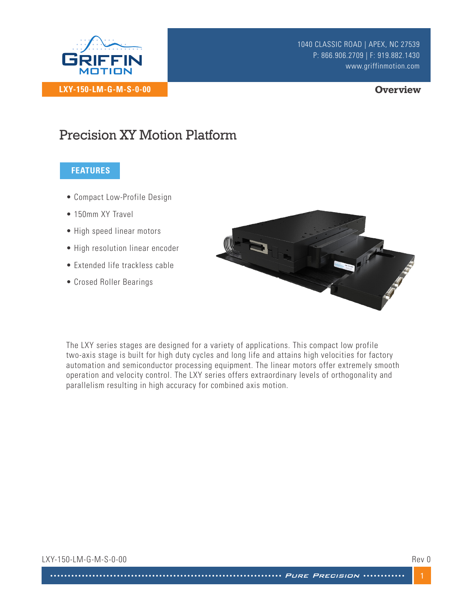

#### **Overview**

# Precision XY Motion Platform

## **FEATURES**

- Compact Low-Profile Design
- 150mm XY Travel
- High speed linear motors
- High resolution linear encoder
- Extended life trackless cable
- Crosed Roller Bearings



The LXY series stages are designed for a variety of applications. This compact low profile two-axis stage is built for high duty cycles and long life and attains high velocities for factory automation and semiconductor processing equipment. The linear motors offer extremely smooth operation and velocity control. The LXY series offers extraordinary levels of orthogonality and parallelism resulting in high accuracy for combined axis motion.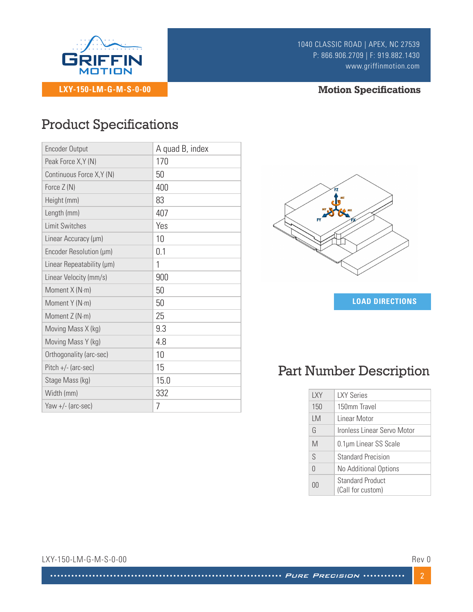

# **Motion Specifications**

# Product Specifications

| <b>Encoder Output</b>     | A quad B, index |
|---------------------------|-----------------|
| Peak Force X, Y (N)       | 170             |
| Continuous Force X, Y (N) | 50              |
| Force $Z(N)$              | 400             |
| Height (mm)               | 83              |
| Length (mm)               | 407             |
| Limit Switches            | Yes             |
| Linear Accuracy (µm)      | 10              |
| Encoder Resolution (µm)   | 0.1             |
| Linear Repeatability (µm) | 1               |
| Linear Velocity (mm/s)    | 900             |
| Moment X (N·m)            | 50              |
| Moment Y (N·m)            | 50              |
| Moment Z (N·m)            | 25              |
| Moving Mass X (kg)        | 9.3             |
| Moving Mass Y (kg)        | 4.8             |
| Orthogonality (arc-sec)   | 10              |
| $Pitch +/- (arc-sec)$     | 15              |
| Stage Mass (kg)           | 15.0            |
| Width (mm)                | 332             |
| Yaw $+/-$ (arc-sec)       | 7               |



**LOAD DIRECTIONS** 

# Part Number Description

| LXY       | <b>LXY Series</b>                            |  |
|-----------|----------------------------------------------|--|
| 150       | 150mm Travel                                 |  |
| <b>LM</b> | Linear Motor                                 |  |
| G         | Ironless Linear Servo Motor                  |  |
| M         | 0.1µm Linear SS Scale                        |  |
| S         | <b>Standard Precision</b>                    |  |
| $\Omega$  | No Additional Options                        |  |
| ΩÜ        | <b>Standard Product</b><br>(Call for custom) |  |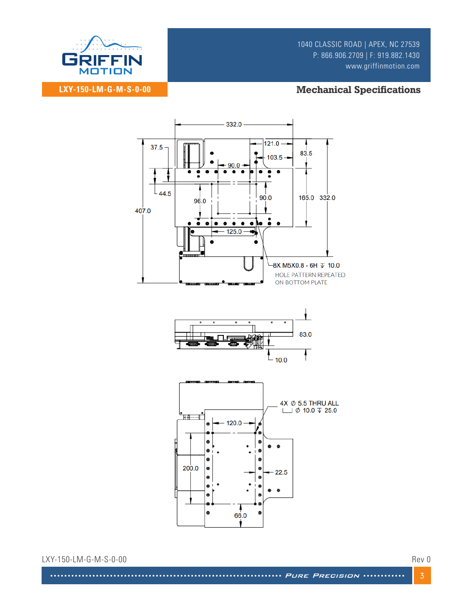

### **LXY-150-LM-G-M-S-0-00**

**Mechanical Specifications** 



LXY-150-LM-G-M-S-0-00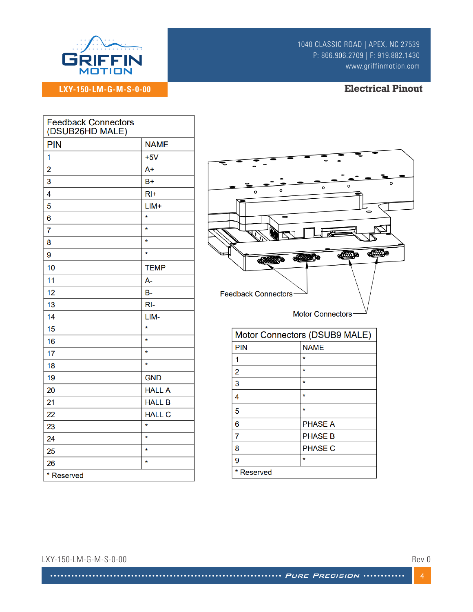

# **LXY-150-LM-G-M-S-0-00**

#### **Electrical Pinout**

| <b>Feedback Connectors</b><br>(DSUB26HD MALE) |               |  |
|-----------------------------------------------|---------------|--|
| <b>PIN</b>                                    | <b>NAME</b>   |  |
| 1                                             | $+5V$         |  |
| $\overline{\mathbf{c}}$                       | $A+$          |  |
| 3                                             | $B+$          |  |
| 4                                             | $RI+$         |  |
| 5                                             | $LIM+$        |  |
| 6                                             | $\star$       |  |
| $\overline{7}$                                | $\star$       |  |
| 8                                             | $\star$       |  |
| 9                                             | $\star$       |  |
| 10                                            | <b>TEMP</b>   |  |
| 11                                            | A-            |  |
| 12                                            | <b>B-</b>     |  |
| 13                                            | $RI-$         |  |
| 14                                            | LIM-          |  |
| 15                                            | $\star$       |  |
| 16                                            | $\star$       |  |
| 17                                            | $\star$       |  |
| 18                                            | $\star$       |  |
| 19                                            | <b>GND</b>    |  |
| 20                                            | <b>HALL A</b> |  |
| 21                                            | <b>HALL B</b> |  |
| 22                                            | <b>HALL C</b> |  |
| 23                                            | $\star$       |  |
| 24                                            | $\star$       |  |
| 25                                            | $\star$       |  |
| 26                                            | $\star$       |  |
| * Reserved                                    |               |  |
|                                               |               |  |



| Motor Connectors (DSUB9 MALE) |                |
|-------------------------------|----------------|
| <b>PIN</b>                    | <b>NAME</b>    |
| 1                             | $\ast$         |
| 2                             | $\star$        |
| 3                             | $\star$        |
| 4                             | $\star$        |
| 5                             | $\star$        |
| 6                             | <b>PHASE A</b> |
| 7                             | <b>PHASE B</b> |
| 8                             | <b>PHASE C</b> |
| 9                             | $\ast$         |
| Reserved                      |                |

#### LXY-150-LM-G-M-S-0-00